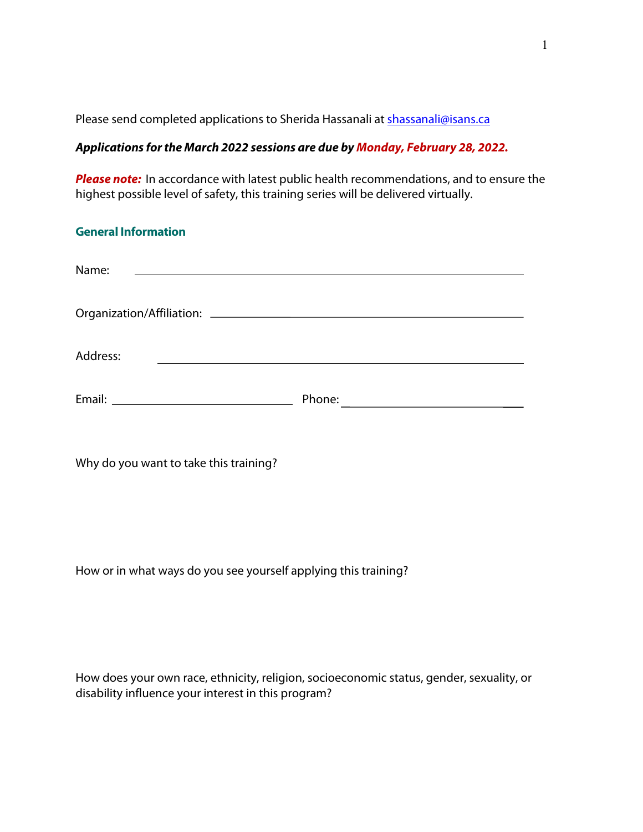Please send completed applications to Sherida Hassanali at [shassanali@isans.ca](mailto:shassanali@isans.ca)

# *Applications for the March 2022 sessions are due by Monday, February 28, 2022.*

**Please note:** In accordance with latest public health recommendations, and to ensure the highest possible level of safety, this training series will be delivered virtually.

| <b>General Information</b>                                                                                                     |        |  |
|--------------------------------------------------------------------------------------------------------------------------------|--------|--|
| Name:<br><u> 1989 - Andrea State Barbara, amerikan personal di sebagai personal di sebagai personal di sebagai personal di</u> |        |  |
|                                                                                                                                |        |  |
| Address:                                                                                                                       |        |  |
|                                                                                                                                | Phone: |  |

Why do you want to take this training?

How or in what ways do you see yourself applying this training?

| How does your own race, ethnicity, religion, socioeconomic status, gender, sexuality, or |  |  |
|------------------------------------------------------------------------------------------|--|--|
| disability influence your interest in this program?                                      |  |  |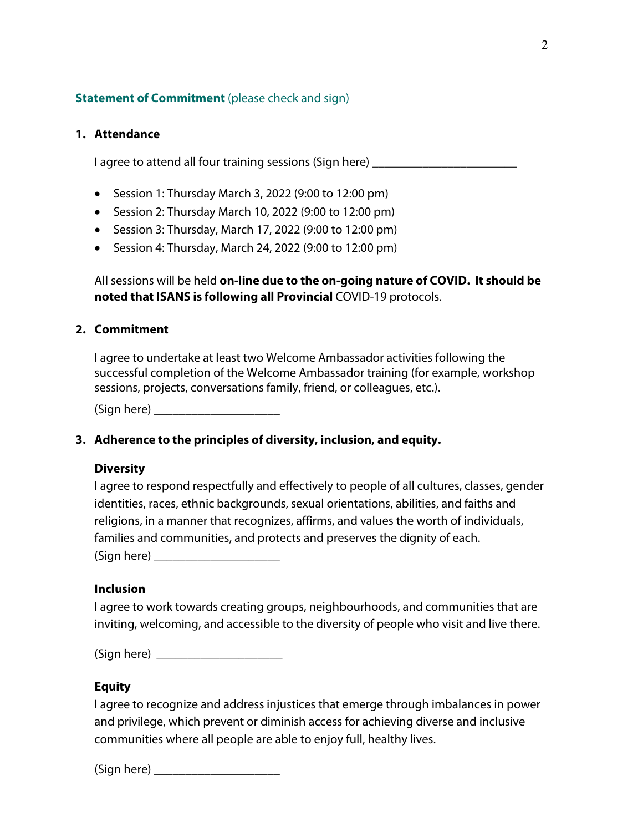# **Statement of Commitment** (please check and sign)

# **1. Attendance**

I agree to attend all four training sessions (Sign here)

- Session 1: Thursday March 3, 2022 (9:00 to 12:00 pm)
- Session 2: Thursday March 10, 2022 (9:00 to 12:00 pm)
- Session 3: Thursday, March 17, 2022 (9:00 to 12:00 pm)
- Session 4: Thursday, March 24, 2022 (9:00 to 12:00 pm)

All sessions will be held **on-line due to the on-going nature of COVID. It should be noted that ISANS is following all Provincial** COVID-19 protocols.

# **2. Commitment**

I agree to undertake at least two Welcome Ambassador activities following the successful completion of the Welcome Ambassador training (for example, workshop sessions, projects, conversations family, friend, or colleagues, etc.).

 $(Sign here)$ 

# **3. Adherence to the principles of diversity, inclusion, and equity.**

### **Diversity**

I agree to respond respectfully and effectively to people of all cultures, classes, gender identities, races, ethnic backgrounds, sexual orientations, abilities, and faiths and religions, in a manner that recognizes, affirms, and values the worth of individuals, families and communities, and protects and preserves the dignity of each.  $(Sign here)$ 

## **Inclusion**

I agree to work towards creating groups, neighbourhoods, and communities that are inviting, welcoming, and accessible to the diversity of people who visit and live there.

(Sign here) \_\_\_\_\_\_\_\_\_\_\_\_\_\_\_\_\_\_\_\_

### **Equity**

I agree to recognize and address injustices that emerge through imbalances in power and privilege, which prevent or diminish access for achieving diverse and inclusive communities where all people are able to enjoy full, healthy lives.

 $(Sian here)$